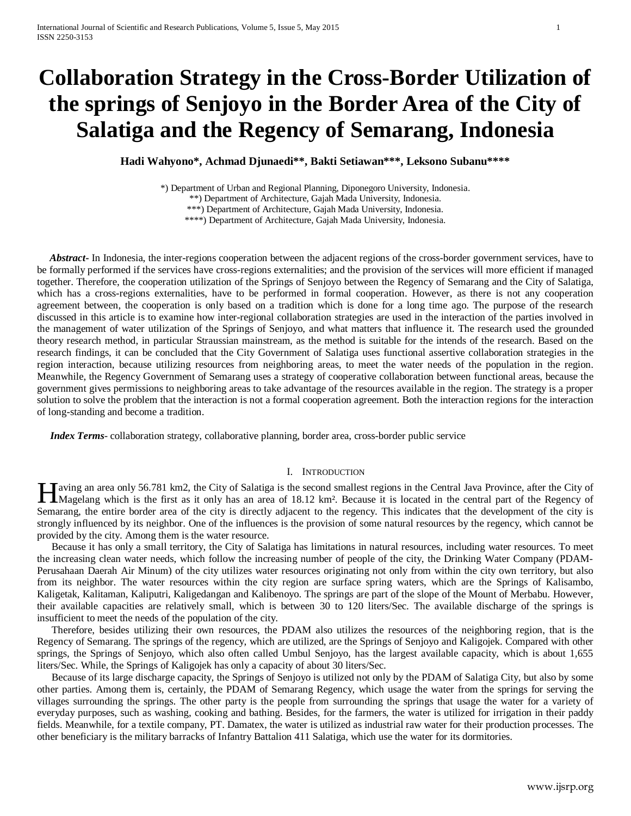# **Collaboration Strategy in the Cross-Border Utilization of the springs of Senjoyo in the Border Area of the City of Salatiga and the Regency of Semarang, Indonesia**

**Hadi Wahyono\*, Achmad Djunaedi\*\*, Bakti Setiawan\*\*\*, Leksono Subanu\*\*\*\***

\*) Department of Urban and Regional Planning, Diponegoro University, Indonesia.

\*\*) Department of Architecture, Gajah Mada University, Indonesia.

\*\*\*) Department of Architecture, Gajah Mada University, Indonesia.

\*\*\*\*) Department of Architecture, Gajah Mada University, Indonesia.

 *Abstract***-** In Indonesia, the inter-regions cooperation between the adjacent regions of the cross-border government services, have to be formally performed if the services have cross-regions externalities; and the provision of the services will more efficient if managed together. Therefore, the cooperation utilization of the Springs of Senjoyo between the Regency of Semarang and the City of Salatiga, which has a cross-regions externalities, have to be performed in formal cooperation. However, as there is not any cooperation agreement between, the cooperation is only based on a tradition which is done for a long time ago. The purpose of the research discussed in this article is to examine how inter-regional collaboration strategies are used in the interaction of the parties involved in the management of water utilization of the Springs of Senjoyo, and what matters that influence it. The research used the grounded theory research method, in particular Straussian mainstream, as the method is suitable for the intends of the research. Based on the research findings, it can be concluded that the City Government of Salatiga uses functional assertive collaboration strategies in the region interaction, because utilizing resources from neighboring areas, to meet the water needs of the population in the region. Meanwhile, the Regency Government of Semarang uses a strategy of cooperative collaboration between functional areas, because the government gives permissions to neighboring areas to take advantage of the resources available in the region. The strategy is a proper solution to solve the problem that the interaction is not a formal cooperation agreement. Both the interaction regions for the interaction of long-standing and become a tradition.

*Index Terms*- collaboration strategy, collaborative planning, border area, cross-border public service

# I. INTRODUCTION

aving an area only 56.781 km2, the City of Salatiga is the second smallest regions in the Central Java Province, after the City of Magelang which is the first as it only has an area of 18.12 km². Because it is located in the central Java Province, after the City of Magelang which is the first as it only has an area of 18.12 km². Because it is located Semarang, the entire border area of the city is directly adjacent to the regency. This indicates that the development of the city is strongly influenced by its neighbor. One of the influences is the provision of some natural resources by the regency, which cannot be provided by the city. Among them is the water resource.

Because it has only a small territory, the City of Salatiga has limitations in natural resources, including water resources. To meet the increasing clean water needs, which follow the increasing number of people of the city, the Drinking Water Company (PDAM-Perusahaan Daerah Air Minum) of the city utilizes water resources originating not only from within the city own territory, but also from its neighbor. The water resources within the city region are surface spring waters, which are the Springs of Kalisambo, Kaligetak, Kalitaman, Kaliputri, Kaligedangan and Kalibenoyo. The springs are part of the slope of the Mount of Merbabu. However, their available capacities are relatively small, which is between 30 to 120 liters/Sec. The available discharge of the springs is insufficient to meet the needs of the population of the city.

Therefore, besides utilizing their own resources, the PDAM also utilizes the resources of the neighboring region, that is the Regency of Semarang. The springs of the regency, which are utilized, are the Springs of Senjoyo and Kaligojek. Compared with other springs, the Springs of Senjoyo, which also often called Umbul Senjoyo, has the largest available capacity, which is about 1,655 liters/Sec. While, the Springs of Kaligojek has only a capacity of about 30 liters/Sec.

Because of its large discharge capacity, the Springs of Senjoyo is utilized not only by the PDAM of Salatiga City, but also by some other parties. Among them is, certainly, the PDAM of Semarang Regency, which usage the water from the springs for serving the villages surrounding the springs. The other party is the people from surrounding the springs that usage the water for a variety of everyday purposes, such as washing, cooking and bathing. Besides, for the farmers, the water is utilized for irrigation in their paddy fields. Meanwhile, for a textile company, PT. Damatex, the water is utilized as industrial raw water for their production processes. The other beneficiary is the military barracks of Infantry Battalion 411 Salatiga, which use the water for its dormitories.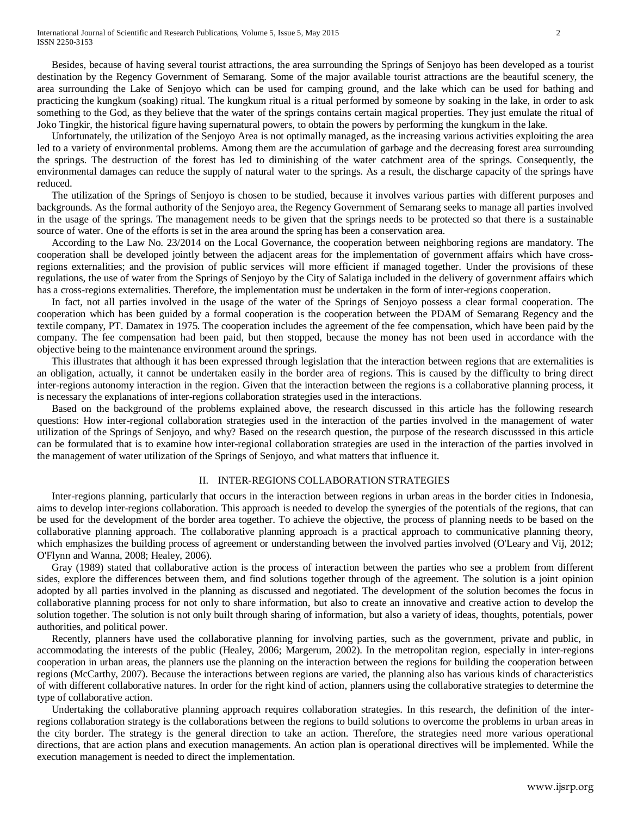Besides, because of having several tourist attractions, the area surrounding the Springs of Senjoyo has been developed as a tourist destination by the Regency Government of Semarang. Some of the major available tourist attractions are the beautiful scenery, the area surrounding the Lake of Senjoyo which can be used for camping ground, and the lake which can be used for bathing and practicing the kungkum (soaking) ritual. The kungkum ritual is a ritual performed by someone by soaking in the lake, in order to ask something to the God, as they believe that the water of the springs contains certain magical properties. They just emulate the ritual of Joko Tingkir, the historical figure having supernatural powers, to obtain the powers by performing the kungkum in the lake.

Unfortunately, the utilization of the Senjoyo Area is not optimally managed, as the increasing various activities exploiting the area led to a variety of environmental problems. Among them are the accumulation of garbage and the decreasing forest area surrounding the springs. The destruction of the forest has led to diminishing of the water catchment area of the springs. Consequently, the environmental damages can reduce the supply of natural water to the springs. As a result, the discharge capacity of the springs have reduced.

The utilization of the Springs of Senjoyo is chosen to be studied, because it involves various parties with different purposes and backgrounds. As the formal authority of the Senjoyo area, the Regency Government of Semarang seeks to manage all parties involved in the usage of the springs. The management needs to be given that the springs needs to be protected so that there is a sustainable source of water. One of the efforts is set in the area around the spring has been a conservation area.

According to the Law No. 23/2014 on the Local Governance, the cooperation between neighboring regions are mandatory. The cooperation shall be developed jointly between the adjacent areas for the implementation of government affairs which have crossregions externalities; and the provision of public services will more efficient if managed together. Under the provisions of these regulations, the use of water from the Springs of Senjoyo by the City of Salatiga included in the delivery of government affairs which has a cross-regions externalities. Therefore, the implementation must be undertaken in the form of inter-regions cooperation.

In fact, not all parties involved in the usage of the water of the Springs of Senjoyo possess a clear formal cooperation. The cooperation which has been guided by a formal cooperation is the cooperation between the PDAM of Semarang Regency and the textile company, PT. Damatex in 1975. The cooperation includes the agreement of the fee compensation, which have been paid by the company. The fee compensation had been paid, but then stopped, because the money has not been used in accordance with the objective being to the maintenance environment around the springs.

This illustrates that although it has been expressed through legislation that the interaction between regions that are externalities is an obligation, actually, it cannot be undertaken easily in the border area of regions. This is caused by the difficulty to bring direct inter-regions autonomy interaction in the region. Given that the interaction between the regions is a collaborative planning process, it is necessary the explanations of inter-regions collaboration strategies used in the interactions.

Based on the background of the problems explained above, the research discussed in this article has the following research questions: How inter-regional collaboration strategies used in the interaction of the parties involved in the management of water utilization of the Springs of Senjoyo, and why? Based on the research question, the purpose of the research discusssed in this article can be formulated that is to examine how inter-regional collaboration strategies are used in the interaction of the parties involved in the management of water utilization of the Springs of Senjoyo, and what matters that influence it.

# II. INTER-REGIONS COLLABORATION STRATEGIES

Inter-regions planning, particularly that occurs in the interaction between regions in urban areas in the border cities in Indonesia, aims to develop inter-regions collaboration. This approach is needed to develop the synergies of the potentials of the regions, that can be used for the development of the border area together. To achieve the objective, the process of planning needs to be based on the collaborative planning approach. The collaborative planning approach is a practical approach to communicative planning theory, which emphasizes the building process of agreement or understanding between the involved parties involved (O'Leary and Vij, 2012; O'Flynn and Wanna, 2008; Healey, 2006).

Gray (1989) stated that collaborative action is the process of interaction between the parties who see a problem from different sides, explore the differences between them, and find solutions together through of the agreement. The solution is a joint opinion adopted by all parties involved in the planning as discussed and negotiated. The development of the solution becomes the focus in collaborative planning process for not only to share information, but also to create an innovative and creative action to develop the solution together. The solution is not only built through sharing of information, but also a variety of ideas, thoughts, potentials, power authorities, and political power.

Recently, planners have used the collaborative planning for involving parties, such as the government, private and public, in accommodating the interests of the public (Healey, 2006; Margerum, 2002). In the metropolitan region, especially in inter-regions cooperation in urban areas, the planners use the planning on the interaction between the regions for building the cooperation between regions (McCarthy, 2007). Because the interactions between regions are varied, the planning also has various kinds of characteristics of with different collaborative natures. In order for the right kind of action, planners using the collaborative strategies to determine the type of collaborative action.

Undertaking the collaborative planning approach requires collaboration strategies. In this research, the definition of the interregions collaboration strategy is the collaborations between the regions to build solutions to overcome the problems in urban areas in the city border. The strategy is the general direction to take an action. Therefore, the strategies need more various operational directions, that are action plans and execution managements. An action plan is operational directives will be implemented. While the execution management is needed to direct the implementation.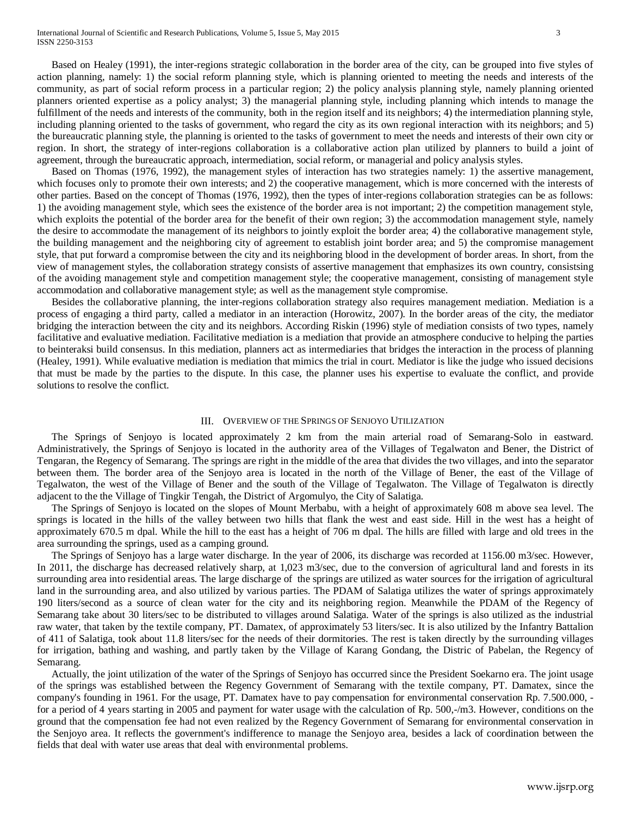Based on Healey (1991), the inter-regions strategic collaboration in the border area of the city, can be grouped into five styles of action planning, namely: 1) the social reform planning style, which is planning oriented to meeting the needs and interests of the community, as part of social reform process in a particular region; 2) the policy analysis planning style, namely planning oriented planners oriented expertise as a policy analyst; 3) the managerial planning style, including planning which intends to manage the fulfillment of the needs and interests of the community, both in the region itself and its neighbors; 4) the intermediation planning style, including planning oriented to the tasks of government, who regard the city as its own regional interaction with its neighbors; and 5) the bureaucratic planning style, the planning is oriented to the tasks of government to meet the needs and interests of their own city or region. In short, the strategy of inter-regions collaboration is a collaborative action plan utilized by planners to build a joint of agreement, through the bureaucratic approach, intermediation, social reform, or managerial and policy analysis styles.

Based on Thomas (1976, 1992), the management styles of interaction has two strategies namely: 1) the assertive management, which focuses only to promote their own interests; and 2) the cooperative management, which is more concerned with the interests of other parties. Based on the concept of Thomas (1976, 1992), then the types of inter-regions collaboration strategies can be as follows: 1) the avoiding management style, which sees the existence of the border area is not important; 2) the competition management style, which exploits the potential of the border area for the benefit of their own region; 3) the accommodation management style, namely the desire to accommodate the management of its neighbors to jointly exploit the border area; 4) the collaborative management style, the building management and the neighboring city of agreement to establish joint border area; and 5) the compromise management style, that put forward a compromise between the city and its neighboring blood in the development of border areas. In short, from the view of management styles, the collaboration strategy consists of assertive management that emphasizes its own country, consistsing of the avoiding management style and competition management style; the cooperative management, consisting of management style accommodation and collaborative management style; as well as the management style compromise.

Besides the collaborative planning, the inter-regions collaboration strategy also requires management mediation. Mediation is a process of engaging a third party, called a mediator in an interaction (Horowitz, 2007). In the border areas of the city, the mediator bridging the interaction between the city and its neighbors. According Riskin (1996) style of mediation consists of two types, namely facilitative and evaluative mediation. Facilitative mediation is a mediation that provide an atmosphere conducive to helping the parties to beinteraksi build consensus. In this mediation, planners act as intermediaries that bridges the interaction in the process of planning (Healey, 1991). While evaluative mediation is mediation that mimics the trial in court. Mediator is like the judge who issued decisions that must be made by the parties to the dispute. In this case, the planner uses his expertise to evaluate the conflict, and provide solutions to resolve the conflict.

#### III. OVERVIEW OF THE SPRINGS OF SENJOYO UTILIZATION

The Springs of Senjoyo is located approximately 2 km from the main arterial road of Semarang-Solo in eastward. Administratively, the Springs of Senjoyo is located in the authority area of the Villages of Tegalwaton and Bener, the District of Tengaran, the Regency of Semarang. The springs are right in the middle of the area that divides the two villages, and into the separator between them. The border area of the Senjoyo area is located in the north of the Village of Bener, the east of the Village of Tegalwaton, the west of the Village of Bener and the south of the Village of Tegalwaton. The Village of Tegalwaton is directly adjacent to the the Village of Tingkir Tengah, the District of Argomulyo, the City of Salatiga.

The Springs of Senjoyo is located on the slopes of Mount Merbabu, with a height of approximately 608 m above sea level. The springs is located in the hills of the valley between two hills that flank the west and east side. Hill in the west has a height of approximately 670.5 m dpal. While the hill to the east has a height of 706 m dpal. The hills are filled with large and old trees in the area surrounding the springs, used as a camping ground.

The Springs of Senjoyo has a large water discharge. In the year of 2006, its discharge was recorded at 1156.00 m3/sec. However, In 2011, the discharge has decreased relatively sharp, at 1,023 m3/sec, due to the conversion of agricultural land and forests in its surrounding area into residential areas. The large discharge of the springs are utilized as water sources for the irrigation of agricultural land in the surrounding area, and also utilized by various parties. The PDAM of Salatiga utilizes the water of springs approximately 190 liters/second as a source of clean water for the city and its neighboring region. Meanwhile the PDAM of the Regency of Semarang take about 30 liters/sec to be distributed to villages around Salatiga. Water of the springs is also utilized as the industrial raw water, that taken by the textile company, PT. Damatex, of approximately 53 liters/sec. It is also utilized by the Infantry Battalion of 411 of Salatiga, took about 11.8 liters/sec for the needs of their dormitories. The rest is taken directly by the surrounding villages for irrigation, bathing and washing, and partly taken by the Village of Karang Gondang, the Distric of Pabelan, the Regency of Semarang.

Actually, the joint utilization of the water of the Springs of Senjoyo has occurred since the President Soekarno era. The joint usage of the springs was established between the Regency Government of Semarang with the textile company, PT. Damatex, since the company's founding in 1961. For the usage, PT. Damatex have to pay compensation for environmental conservation Rp. 7.500.000, for a period of 4 years starting in 2005 and payment for water usage with the calculation of Rp. 500,-/m3. However, conditions on the ground that the compensation fee had not even realized by the Regency Government of Semarang for environmental conservation in the Senjoyo area. It reflects the government's indifference to manage the Senjoyo area, besides a lack of coordination between the fields that deal with water use areas that deal with environmental problems.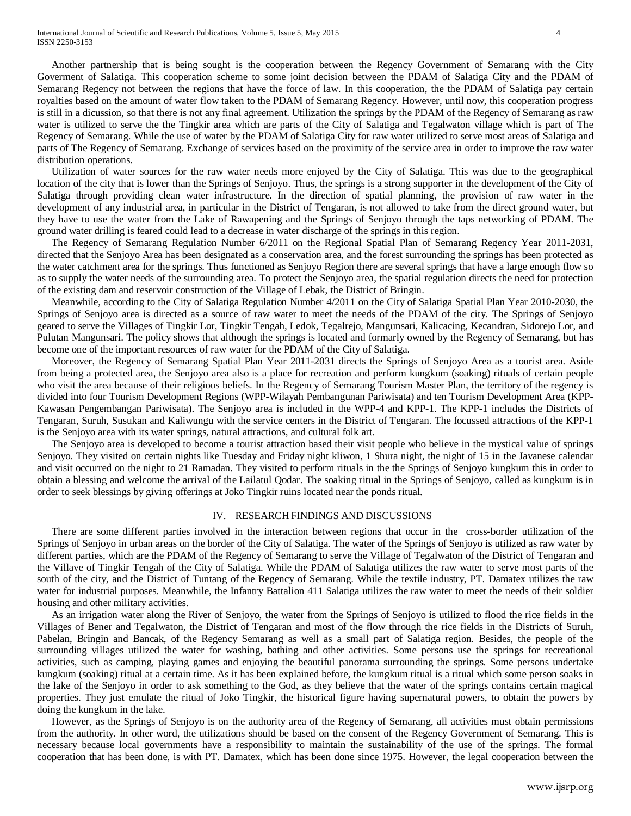Another partnership that is being sought is the cooperation between the Regency Government of Semarang with the City Goverment of Salatiga. This cooperation scheme to some joint decision between the PDAM of Salatiga City and the PDAM of Semarang Regency not between the regions that have the force of law. In this cooperation, the the PDAM of Salatiga pay certain royalties based on the amount of water flow taken to the PDAM of Semarang Regency. However, until now, this cooperation progress is still in a dicussion, so that there is not any final agreement. Utilization the springs by the PDAM of the Regency of Semarang as raw water is utilized to serve the the Tingkir area which are parts of the City of Salatiga and Tegalwaton village which is part of The Regency of Semarang. While the use of water by the PDAM of Salatiga City for raw water utilized to serve most areas of Salatiga and parts of The Regency of Semarang. Exchange of services based on the proximity of the service area in order to improve the raw water distribution operations.

Utilization of water sources for the raw water needs more enjoyed by the City of Salatiga. This was due to the geographical location of the city that is lower than the Springs of Senjoyo. Thus, the springs is a strong supporter in the development of the City of Salatiga through providing clean water infrastructure. In the direction of spatial planning, the provision of raw water in the development of any industrial area, in particular in the District of Tengaran, is not allowed to take from the direct ground water, but they have to use the water from the Lake of Rawapening and the Springs of Senjoyo through the taps networking of PDAM. The ground water drilling is feared could lead to a decrease in water discharge of the springs in this region.

The Regency of Semarang Regulation Number 6/2011 on the Regional Spatial Plan of Semarang Regency Year 2011-2031, directed that the Senjoyo Area has been designated as a conservation area, and the forest surrounding the springs has been protected as the water catchment area for the springs. Thus functioned as Senjoyo Region there are several springs that have a large enough flow so as to supply the water needs of the surrounding area. To protect the Senjoyo area, the spatial regulation directs the need for protection of the existing dam and reservoir construction of the Village of Lebak, the District of Bringin.

Meanwhile, according to the City of Salatiga Regulation Number 4/2011 on the City of Salatiga Spatial Plan Year 2010-2030, the Springs of Senjoyo area is directed as a source of raw water to meet the needs of the PDAM of the city. The Springs of Senjoyo geared to serve the Villages of Tingkir Lor, Tingkir Tengah, Ledok, Tegalrejo, Mangunsari, Kalicacing, Kecandran, Sidorejo Lor, and Pulutan Mangunsari. The policy shows that although the springs is located and formarly owned by the Regency of Semarang, but has become one of the important resources of raw water for the PDAM of the City of Salatiga.

Moreover, the Regency of Semarang Spatial Plan Year 2011-2031 directs the Springs of Senjoyo Area as a tourist area. Aside from being a protected area, the Senjoyo area also is a place for recreation and perform kungkum (soaking) rituals of certain people who visit the area because of their religious beliefs. In the Regency of Semarang Tourism Master Plan, the territory of the regency is divided into four Tourism Development Regions (WPP-Wilayah Pembangunan Pariwisata) and ten Tourism Development Area (KPP-Kawasan Pengembangan Pariwisata). The Senjoyo area is included in the WPP-4 and KPP-1. The KPP-1 includes the Districts of Tengaran, Suruh, Susukan and Kaliwungu with the service centers in the District of Tengaran. The focussed attractions of the KPP-1 is the Senjoyo area with its water springs, natural attractions, and cultural folk art.

The Senjoyo area is developed to become a tourist attraction based their visit people who believe in the mystical value of springs Senjoyo. They visited on certain nights like Tuesday and Friday night kliwon, 1 Shura night, the night of 15 in the Javanese calendar and visit occurred on the night to 21 Ramadan. They visited to perform rituals in the the Springs of Senjoyo kungkum this in order to obtain a blessing and welcome the arrival of the Lailatul Qodar. The soaking ritual in the Springs of Senjoyo, called as kungkum is in order to seek blessings by giving offerings at Joko Tingkir ruins located near the ponds ritual.

# IV. RESEARCH FINDINGS AND DISCUSSIONS

There are some different parties involved in the interaction between regions that occur in the cross-border utilization of the Springs of Senjoyo in urban areas on the border of the City of Salatiga. The water of the Springs of Senjoyo is utilized as raw water by different parties, which are the PDAM of the Regency of Semarang to serve the Village of Tegalwaton of the District of Tengaran and the Villave of Tingkir Tengah of the City of Salatiga. While the PDAM of Salatiga utilizes the raw water to serve most parts of the south of the city, and the District of Tuntang of the Regency of Semarang. While the textile industry, PT. Damatex utilizes the raw water for industrial purposes. Meanwhile, the Infantry Battalion 411 Salatiga utilizes the raw water to meet the needs of their soldier housing and other military activities.

As an irrigation water along the River of Senjoyo, the water from the Springs of Senjoyo is utilized to flood the rice fields in the Villages of Bener and Tegalwaton, the District of Tengaran and most of the flow through the rice fields in the Districts of Suruh, Pabelan, Bringin and Bancak, of the Regency Semarang as well as a small part of Salatiga region. Besides, the people of the surrounding villages utilized the water for washing, bathing and other activities. Some persons use the springs for recreational activities, such as camping, playing games and enjoying the beautiful panorama surrounding the springs. Some persons undertake kungkum (soaking) ritual at a certain time. As it has been explained before, the kungkum ritual is a ritual which some person soaks in the lake of the Senjoyo in order to ask something to the God, as they believe that the water of the springs contains certain magical properties. They just emulate the ritual of Joko Tingkir, the historical figure having supernatural powers, to obtain the powers by doing the kungkum in the lake.

However, as the Springs of Senjoyo is on the authority area of the Regency of Semarang, all activities must obtain permissions from the authority. In other word, the utilizations should be based on the consent of the Regency Government of Semarang. This is necessary because local governments have a responsibility to maintain the sustainability of the use of the springs. The formal cooperation that has been done, is with PT. Damatex, which has been done since 1975. However, the legal cooperation between the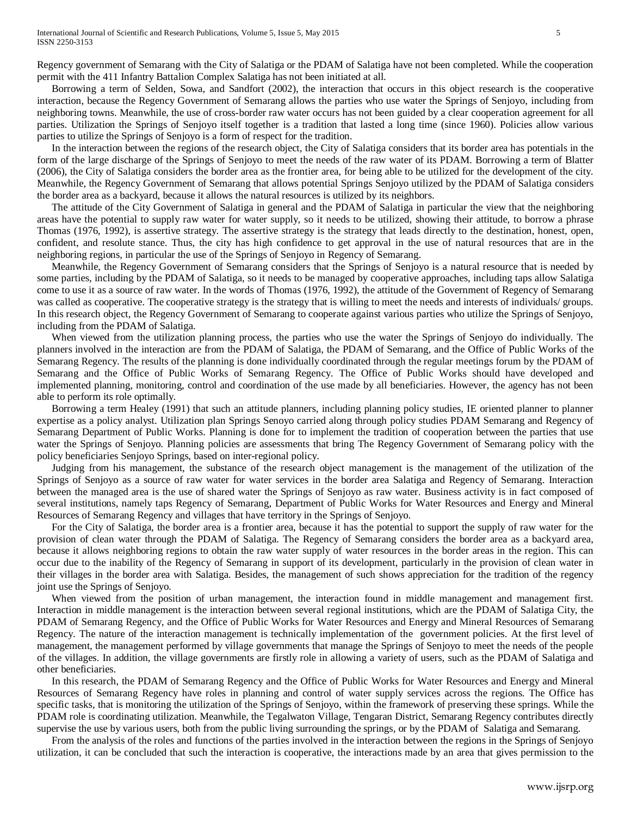Regency government of Semarang with the City of Salatiga or the PDAM of Salatiga have not been completed. While the cooperation permit with the 411 Infantry Battalion Complex Salatiga has not been initiated at all.

Borrowing a term of Selden, Sowa, and Sandfort (2002), the interaction that occurs in this object research is the cooperative interaction, because the Regency Government of Semarang allows the parties who use water the Springs of Senjoyo, including from neighboring towns. Meanwhile, the use of cross-border raw water occurs has not been guided by a clear cooperation agreement for all parties. Utilization the Springs of Senjoyo itself together is a tradition that lasted a long time (since 1960). Policies allow various parties to utilize the Springs of Senjoyo is a form of respect for the tradition.

In the interaction between the regions of the research object, the City of Salatiga considers that its border area has potentials in the form of the large discharge of the Springs of Senjoyo to meet the needs of the raw water of its PDAM. Borrowing a term of Blatter (2006), the City of Salatiga considers the border area as the frontier area, for being able to be utilized for the development of the city. Meanwhile, the Regency Government of Semarang that allows potential Springs Senjoyo utilized by the PDAM of Salatiga considers the border area as a backyard, because it allows the natural resources is utilized by its neighbors.

The attitude of the City Government of Salatiga in general and the PDAM of Salatiga in particular the view that the neighboring areas have the potential to supply raw water for water supply, so it needs to be utilized, showing their attitude, to borrow a phrase Thomas (1976, 1992), is assertive strategy. The assertive strategy is the strategy that leads directly to the destination, honest, open, confident, and resolute stance. Thus, the city has high confidence to get approval in the use of natural resources that are in the neighboring regions, in particular the use of the Springs of Senjoyo in Regency of Semarang.

Meanwhile, the Regency Government of Semarang considers that the Springs of Senjoyo is a natural resource that is needed by some parties, including by the PDAM of Salatiga, so it needs to be managed by cooperative approaches, including taps allow Salatiga come to use it as a source of raw water. In the words of Thomas (1976, 1992), the attitude of the Government of Regency of Semarang was called as cooperative. The cooperative strategy is the strategy that is willing to meet the needs and interests of individuals/ groups. In this research object, the Regency Government of Semarang to cooperate against various parties who utilize the Springs of Senjoyo, including from the PDAM of Salatiga.

When viewed from the utilization planning process, the parties who use the water the Springs of Senjoyo do individually. The planners involved in the interaction are from the PDAM of Salatiga, the PDAM of Semarang, and the Office of Public Works of the Semarang Regency. The results of the planning is done individually coordinated through the regular meetings forum by the PDAM of Semarang and the Office of Public Works of Semarang Regency. The Office of Public Works should have developed and implemented planning, monitoring, control and coordination of the use made by all beneficiaries. However, the agency has not been able to perform its role optimally.

Borrowing a term Healey (1991) that such an attitude planners, including planning policy studies, IE oriented planner to planner expertise as a policy analyst. Utilization plan Springs Senoyo carried along through policy studies PDAM Semarang and Regency of Semarang Department of Public Works. Planning is done for to implement the tradition of cooperation between the parties that use water the Springs of Senjoyo. Planning policies are assessments that bring The Regency Government of Semarang policy with the policy beneficiaries Senjoyo Springs, based on inter-regional policy.

Judging from his management, the substance of the research object management is the management of the utilization of the Springs of Senjoyo as a source of raw water for water services in the border area Salatiga and Regency of Semarang. Interaction between the managed area is the use of shared water the Springs of Senjoyo as raw water. Business activity is in fact composed of several institutions, namely taps Regency of Semarang, Department of Public Works for Water Resources and Energy and Mineral Resources of Semarang Regency and villages that have territory in the Springs of Senjoyo.

For the City of Salatiga, the border area is a frontier area, because it has the potential to support the supply of raw water for the provision of clean water through the PDAM of Salatiga. The Regency of Semarang considers the border area as a backyard area, because it allows neighboring regions to obtain the raw water supply of water resources in the border areas in the region. This can occur due to the inability of the Regency of Semarang in support of its development, particularly in the provision of clean water in their villages in the border area with Salatiga. Besides, the management of such shows appreciation for the tradition of the regency joint use the Springs of Senjoyo.

When viewed from the position of urban management, the interaction found in middle management and management first. Interaction in middle management is the interaction between several regional institutions, which are the PDAM of Salatiga City, the PDAM of Semarang Regency, and the Office of Public Works for Water Resources and Energy and Mineral Resources of Semarang Regency. The nature of the interaction management is technically implementation of the government policies. At the first level of management, the management performed by village governments that manage the Springs of Senjoyo to meet the needs of the people of the villages. In addition, the village governments are firstly role in allowing a variety of users, such as the PDAM of Salatiga and other beneficiaries.

In this research, the PDAM of Semarang Regency and the Office of Public Works for Water Resources and Energy and Mineral Resources of Semarang Regency have roles in planning and control of water supply services across the regions. The Office has specific tasks, that is monitoring the utilization of the Springs of Senjoyo, within the framework of preserving these springs. While the PDAM role is coordinating utilization. Meanwhile, the Tegalwaton Village, Tengaran District, Semarang Regency contributes directly supervise the use by various users, both from the public living surrounding the springs, or by the PDAM of Salatiga and Semarang.

From the analysis of the roles and functions of the parties involved in the interaction between the regions in the Springs of Senjoyo utilization, it can be concluded that such the interaction is cooperative, the interactions made by an area that gives permission to the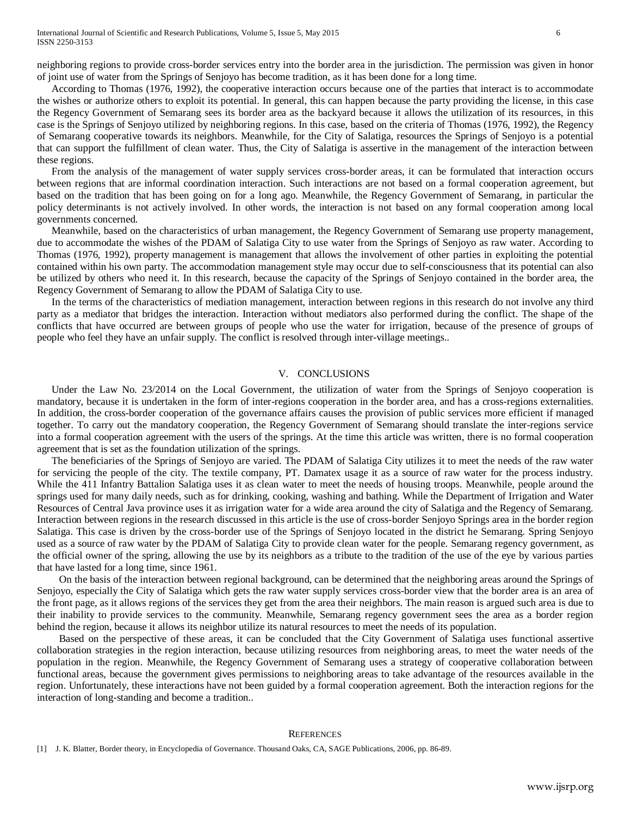According to Thomas (1976, 1992), the cooperative interaction occurs because one of the parties that interact is to accommodate the wishes or authorize others to exploit its potential. In general, this can happen because the party providing the license, in this case the Regency Government of Semarang sees its border area as the backyard because it allows the utilization of its resources, in this case is the Springs of Senjoyo utilized by neighboring regions. In this case, based on the criteria of Thomas (1976, 1992), the Regency of Semarang cooperative towards its neighbors. Meanwhile, for the City of Salatiga, resources the Springs of Senjoyo is a potential that can support the fulfillment of clean water. Thus, the City of Salatiga is assertive in the management of the interaction between these regions.

From the analysis of the management of water supply services cross-border areas, it can be formulated that interaction occurs between regions that are informal coordination interaction. Such interactions are not based on a formal cooperation agreement, but based on the tradition that has been going on for a long ago. Meanwhile, the Regency Government of Semarang, in particular the policy determinants is not actively involved. In other words, the interaction is not based on any formal cooperation among local governments concerned.

Meanwhile, based on the characteristics of urban management, the Regency Government of Semarang use property management, due to accommodate the wishes of the PDAM of Salatiga City to use water from the Springs of Senjoyo as raw water. According to Thomas (1976, 1992), property management is management that allows the involvement of other parties in exploiting the potential contained within his own party. The accommodation management style may occur due to self-consciousness that its potential can also be utilized by others who need it. In this research, because the capacity of the Springs of Senjoyo contained in the border area, the Regency Government of Semarang to allow the PDAM of Salatiga City to use.

In the terms of the characteristics of mediation management, interaction between regions in this research do not involve any third party as a mediator that bridges the interaction. Interaction without mediators also performed during the conflict. The shape of the conflicts that have occurred are between groups of people who use the water for irrigation, because of the presence of groups of people who feel they have an unfair supply. The conflict is resolved through inter-village meetings..

# V. CONCLUSIONS

Under the Law No. 23/2014 on the Local Government, the utilization of water from the Springs of Senjoyo cooperation is mandatory, because it is undertaken in the form of inter-regions cooperation in the border area, and has a cross-regions externalities. In addition, the cross-border cooperation of the governance affairs causes the provision of public services more efficient if managed together. To carry out the mandatory cooperation, the Regency Government of Semarang should translate the inter-regions service into a formal cooperation agreement with the users of the springs. At the time this article was written, there is no formal cooperation agreement that is set as the foundation utilization of the springs.

The beneficiaries of the Springs of Senjoyo are varied. The PDAM of Salatiga City utilizes it to meet the needs of the raw water for servicing the people of the city. The textile company, PT. Damatex usage it as a source of raw water for the process industry. While the 411 Infantry Battalion Salatiga uses it as clean water to meet the needs of housing troops. Meanwhile, people around the springs used for many daily needs, such as for drinking, cooking, washing and bathing. While the Department of Irrigation and Water Resources of Central Java province uses it as irrigation water for a wide area around the city of Salatiga and the Regency of Semarang. Interaction between regions in the research discussed in this article is the use of cross-border Senjoyo Springs area in the border region Salatiga. This case is driven by the cross-border use of the Springs of Senjoyo located in the district he Semarang. Spring Senjoyo used as a source of raw water by the PDAM of Salatiga City to provide clean water for the people. Semarang regency government, as the official owner of the spring, allowing the use by its neighbors as a tribute to the tradition of the use of the eye by various parties that have lasted for a long time, since 1961.

On the basis of the interaction between regional background, can be determined that the neighboring areas around the Springs of Senjoyo, especially the City of Salatiga which gets the raw water supply services cross-border view that the border area is an area of the front page, as it allows regions of the services they get from the area their neighbors. The main reason is argued such area is due to their inability to provide services to the community. Meanwhile, Semarang regency government sees the area as a border region behind the region, because it allows its neighbor utilize its natural resources to meet the needs of its population.

Based on the perspective of these areas, it can be concluded that the City Government of Salatiga uses functional assertive collaboration strategies in the region interaction, because utilizing resources from neighboring areas, to meet the water needs of the population in the region. Meanwhile, the Regency Government of Semarang uses a strategy of cooperative collaboration between functional areas, because the government gives permissions to neighboring areas to take advantage of the resources available in the region. Unfortunately, these interactions have not been guided by a formal cooperation agreement. Both the interaction regions for the interaction of long-standing and become a tradition..

#### **REFERENCES**